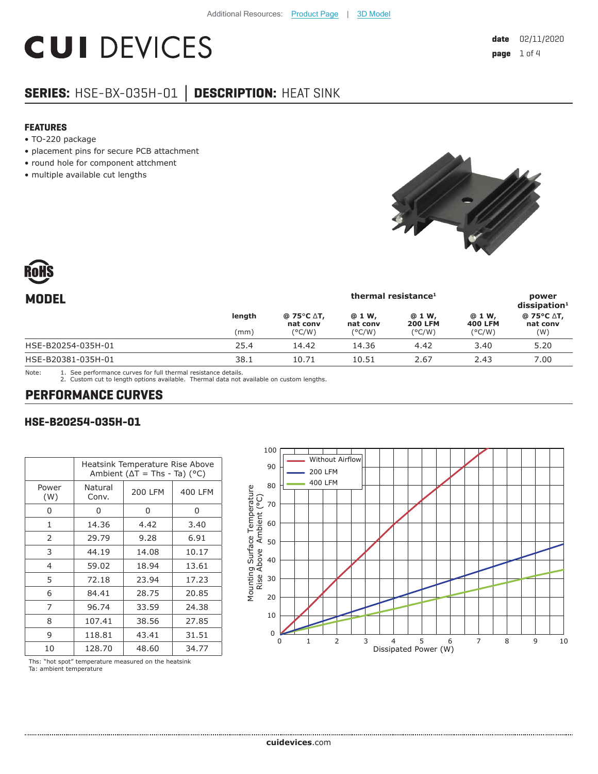# **CUI DEVICES**

## **SERIES:** HSE-BX-035H-01 **│ DESCRIPTION:** HEAT SINK

#### **FEATURES**

- TO-220 package
- placement pins for secure PCB attachment
- round hole for component attchment
- multiple available cut lengths





| thermal resistance <sup>1</sup> |                                                            |                    |                          | power<br>$dis$ sipation <sup>1</sup> |                        |
|---------------------------------|------------------------------------------------------------|--------------------|--------------------------|--------------------------------------|------------------------|
| length                          | @ 75 $\mathrm{^{\circ}C}$ $\mathrm{\Delta}$ T,<br>nat conv | @ 1 W,<br>nat conv | @ 1 W,<br><b>200 LFM</b> | @ 1 W,<br><b>400 LFM</b>             | @ 75°C ∆T,<br>nat conv |
|                                 |                                                            |                    |                          |                                      | (W)                    |
| 25.4                            | 14.42                                                      | 14.36              | 4.42                     | 3.40                                 | 5.20                   |
| 38.1                            | 10.71                                                      | 10.51              | 2.67                     | 2.43                                 | 7.00                   |
|                                 | (mm)                                                       | $(^{\circ}C/W)$    | $(^{\circ}C/W)$          | $(^{\circ}C/W)$                      | $(^{\circ}C/W)$        |

Note: 1. See performance curves for full thermal resistance details.

2. Custom cut to length options available. Thermal data not available on custom lengths.

## **PERFORMANCE CURVES**

#### **HSE-B20254-035H-01**

|                |                                       | Heatsink Temperature Rise Above |         |  |
|----------------|---------------------------------------|---------------------------------|---------|--|
|                | Ambient ( $\Delta T$ = Ths - Ta) (°C) |                                 |         |  |
| Power<br>(W)   | Natural<br>Conv.                      | 200 LFM                         | 400 LFM |  |
| 0              | 0                                     | 0                               | 0       |  |
| 1              | 14.36                                 | 4.42                            | 3.40    |  |
| 2              | 29.79                                 | 9.28                            | 6.91    |  |
| 3              | 44.19                                 | 14.08                           | 10.17   |  |
| $\overline{4}$ | 59.02                                 | 18.94                           | 13.61   |  |
| 5              | 72.18                                 | 23.94                           | 17.23   |  |
| 6              | 84.41                                 | 28.75                           | 20.85   |  |
| 7              | 96.74                                 | 33.59                           | 24.38   |  |
| 8              | 107.41                                | 38.56                           | 27.85   |  |
| 9              | 118.81                                | 43.41                           | 31.51   |  |
| 10             | 128.70                                | 48.60                           | 34.77   |  |



Ths: "hot spot" temperature measured on the heatsink

Ta: ambient temperature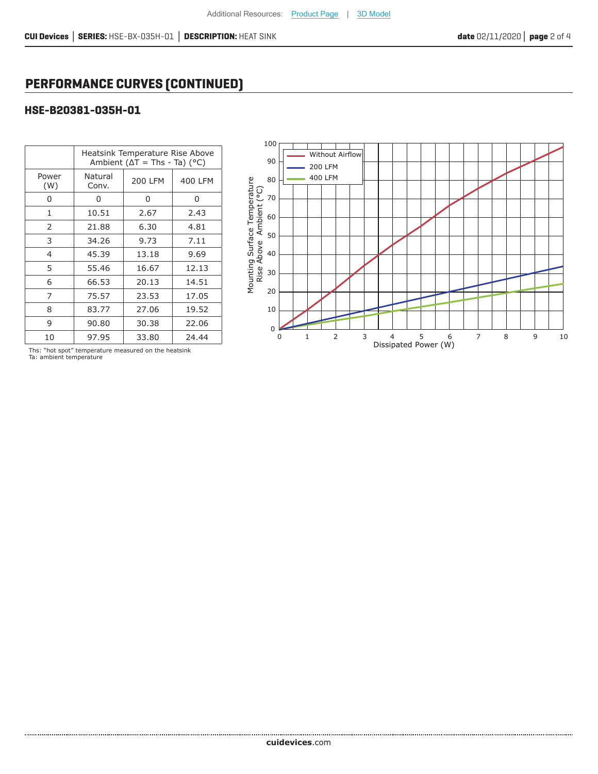## **PERFORMANCE CURVES (CONTINUED)**

#### **HSE-B20381-035H-01**

|                | Heatsink Temperature Rise Above<br>Ambient ( $\Delta T$ = Ths - Ta) (°C) |                |         |  |
|----------------|--------------------------------------------------------------------------|----------------|---------|--|
| Power<br>(W)   | Natural<br>Conv.                                                         | <b>200 LFM</b> | 400 LFM |  |
| 0              | 0                                                                        | 0              | 0       |  |
| 1              | 10.51                                                                    | 2.67           | 2.43    |  |
| 2              | 21.88                                                                    | 6.30           | 4.81    |  |
| 3              | 34.26                                                                    | 9.73           | 7.11    |  |
| $\overline{4}$ | 45.39                                                                    | 13.18          | 9.69    |  |
| 5              | 55.46                                                                    | 16.67          | 12.13   |  |
| 6              | 66.53                                                                    | 20.13          | 14.51   |  |
| 7              | 75.57                                                                    | 23.53          | 17.05   |  |
| 8              | 83.77                                                                    | 27.06          | 19.52   |  |
| 9              | 90.80                                                                    | 30.38          | 22.06   |  |
| 10             | 97.95                                                                    | 33.80          | 24.44   |  |



Ths: "hot spot" temperature measured on the heatsink Ta: ambient temperature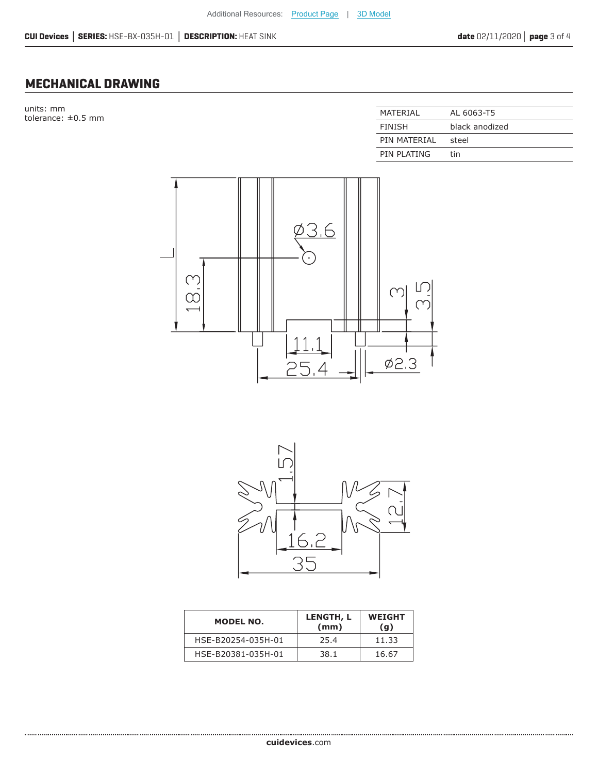### **MECHANICAL DRAWING**

units: mm  $t$ olerance:  $\pm 0.5$  mm

| MATFRIAI      | AL 6063-T5     |
|---------------|----------------|
| <b>FINISH</b> | black anodized |
| PIN MATFRIAL  | steel          |
| PIN PLATING   | tin            |





| MODEL NO.          | LENGTH, L<br>(mm) | <b>WEIGHT</b><br>(g) |
|--------------------|-------------------|----------------------|
| HSE-B20254-035H-01 | 25.4              | 11.33                |
| HSE-B20381-035H-01 | 38.1              | 16.67                |

**cui[devices](https://www.cuidevices.com/track?actionLabel=Datasheet-ClickThrough-HomePage&label=HSE-BX-035H-01.pdf&path=/)**.com